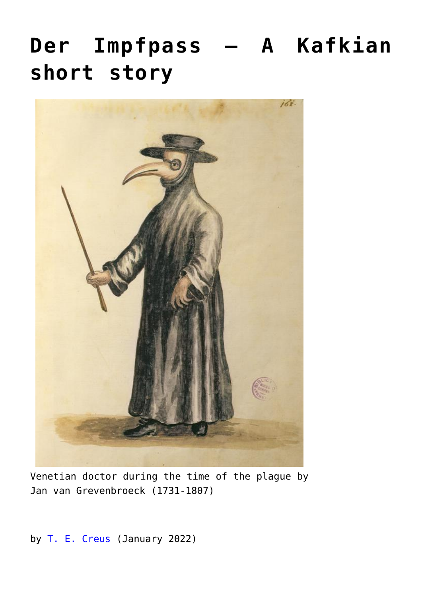## **[Der Impfpass – A Kafkian](https://www.newenglishreview.org/articles/der-impfpass-a-kafkian-short-story/) [short story](https://www.newenglishreview.org/articles/der-impfpass-a-kafkian-short-story/)**



Venetian doctor during the time of the plague by Jan van Grevenbroeck (1731-1807)

by [T. E. Creus](https://www.newenglishreview.org/authors/t-e-creus/?) (January 2022)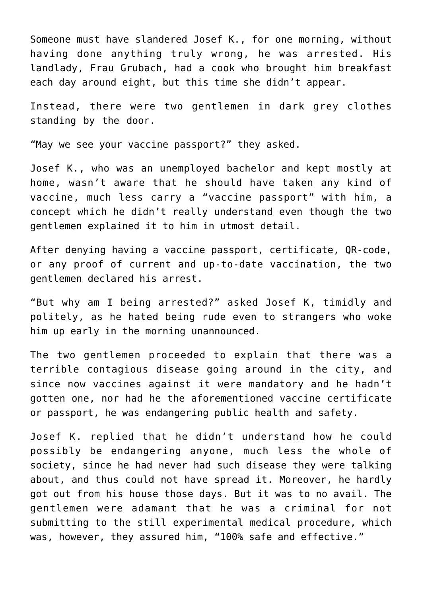Someone must have slandered Josef K., for one morning, without having done anything truly wrong, he was arrested. His landlady, Frau Grubach, had a cook who brought him breakfast each day around eight, but this time she didn't appear.

Instead, there were two gentlemen in dark grey clothes standing by the door.

"May we see your vaccine passport?" they asked.

Josef K., who was an unemployed bachelor and kept mostly at home, wasn't aware that he should have taken any kind of vaccine, much less carry a "vaccine passport" with him, a concept which he didn't really understand even though the two gentlemen explained it to him in utmost detail.

After denying having a vaccine passport, certificate, QR-code, or any proof of current and up-to-date vaccination, the two gentlemen declared his arrest.

"But why am I being arrested?" asked Josef K, timidly and politely, as he hated being rude even to strangers who woke him up early in the morning unannounced.

The two gentlemen proceeded to explain that there was a terrible contagious disease going around in the city, and since now vaccines against it were mandatory and he hadn't gotten one, nor had he the aforementioned vaccine certificate or passport, he was endangering public health and safety.

Josef K. replied that he didn't understand how he could possibly be endangering anyone, much less the whole of society, since he had never had such disease they were talking about, and thus could not have spread it. Moreover, he hardly got out from his house those days. But it was to no avail. The gentlemen were adamant that he was a criminal for not submitting to the still experimental medical procedure, which was, however, they assured him, "100% safe and effective."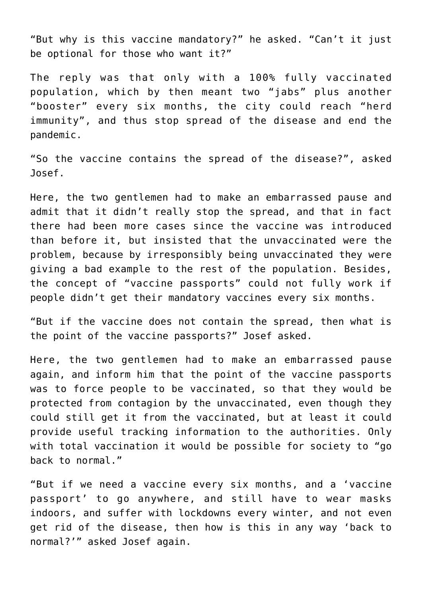"But why is this vaccine mandatory?" he asked. "Can't it just be optional for those who want it?"

The reply was that only with a 100% fully vaccinated population, which by then meant two "jabs" plus another "booster" every six months, the city could reach "herd immunity", and thus stop spread of the disease and end the pandemic.

"So the vaccine contains the spread of the disease?", asked Josef.

Here, the two gentlemen had to make an embarrassed pause and admit that it didn't really stop the spread, and that in fact there had been more cases since the vaccine was introduced than before it, but insisted that the unvaccinated were the problem, because by irresponsibly being unvaccinated they were giving a bad example to the rest of the population. Besides, the concept of "vaccine passports" could not fully work if people didn't get their mandatory vaccines every six months.

"But if the vaccine does not contain the spread, then what is the point of the vaccine passports?" Josef asked.

Here, the two gentlemen had to make an embarrassed pause again, and inform him that the point of the vaccine passports was to force people to be vaccinated, so that they would be protected from contagion by the unvaccinated, even though they could still get it from the vaccinated, but at least it could provide useful tracking information to the authorities. Only with total vaccination it would be possible for society to "go back to normal."

"But if we need a vaccine every six months, and a 'vaccine passport' to go anywhere, and still have to wear masks indoors, and suffer with lockdowns every winter, and not even get rid of the disease, then how is this in any way 'back to normal?'" asked Josef again.